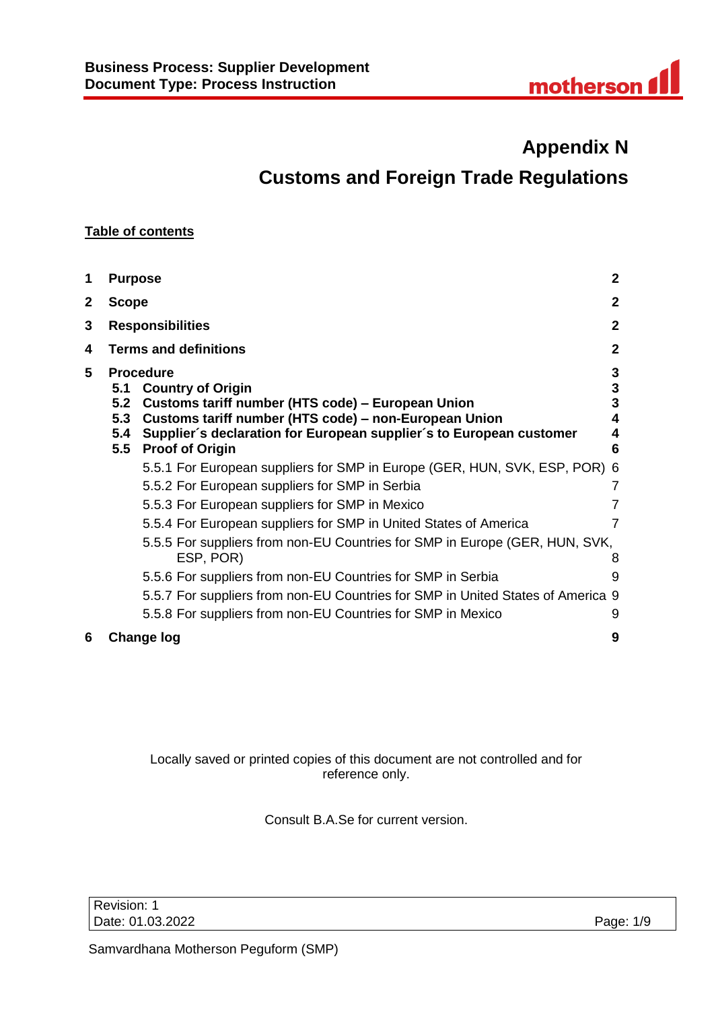# **Appendix N Customs and Foreign Trade Regulations**

# **Table of contents**

| 1            | <b>Purpose</b>                  |                                                                                                                                                                                                                                                             | $\mathbf{2}$               |
|--------------|---------------------------------|-------------------------------------------------------------------------------------------------------------------------------------------------------------------------------------------------------------------------------------------------------------|----------------------------|
| $\mathbf{2}$ | <b>Scope</b>                    |                                                                                                                                                                                                                                                             | $\mathbf{2}$               |
| 3            |                                 | <b>Responsibilities</b>                                                                                                                                                                                                                                     | $\mathbf{2}$               |
| 4            | <b>Terms and definitions</b>    |                                                                                                                                                                                                                                                             | 2                          |
| 5            | 5.1<br>5.2<br>5.3<br>5.4<br>5.5 | <b>Procedure</b><br><b>Country of Origin</b><br>Customs tariff number (HTS code) – European Union<br>Customs tariff number (HTS code) - non-European Union<br>Supplier's declaration for European supplier's to European customer<br><b>Proof of Origin</b> | 3<br>3<br>3<br>4<br>4<br>6 |
|              |                                 | 5.5.1 For European suppliers for SMP in Europe (GER, HUN, SVK, ESP, POR) 6                                                                                                                                                                                  |                            |
|              |                                 | 5.5.2 For European suppliers for SMP in Serbia                                                                                                                                                                                                              | 7                          |
|              |                                 | 5.5.3 For European suppliers for SMP in Mexico                                                                                                                                                                                                              |                            |
|              |                                 | 5.5.4 For European suppliers for SMP in United States of America                                                                                                                                                                                            | 7                          |
|              |                                 | 5.5.5 For suppliers from non-EU Countries for SMP in Europe (GER, HUN, SVK,<br>ESP, POR)                                                                                                                                                                    | 8                          |
|              |                                 | 5.5.6 For suppliers from non-EU Countries for SMP in Serbia                                                                                                                                                                                                 | 9                          |
|              |                                 | 5.5.7 For suppliers from non-EU Countries for SMP in United States of America 9                                                                                                                                                                             |                            |
|              |                                 | 5.5.8 For suppliers from non-EU Countries for SMP in Mexico                                                                                                                                                                                                 | 9                          |
| 6            |                                 | Change log                                                                                                                                                                                                                                                  | 9                          |

# Locally saved or printed copies of this document are not controlled and for reference only.

Consult B.A.Se for current version.

Revision: 1 Date: 01.03.2022 Page: 1/9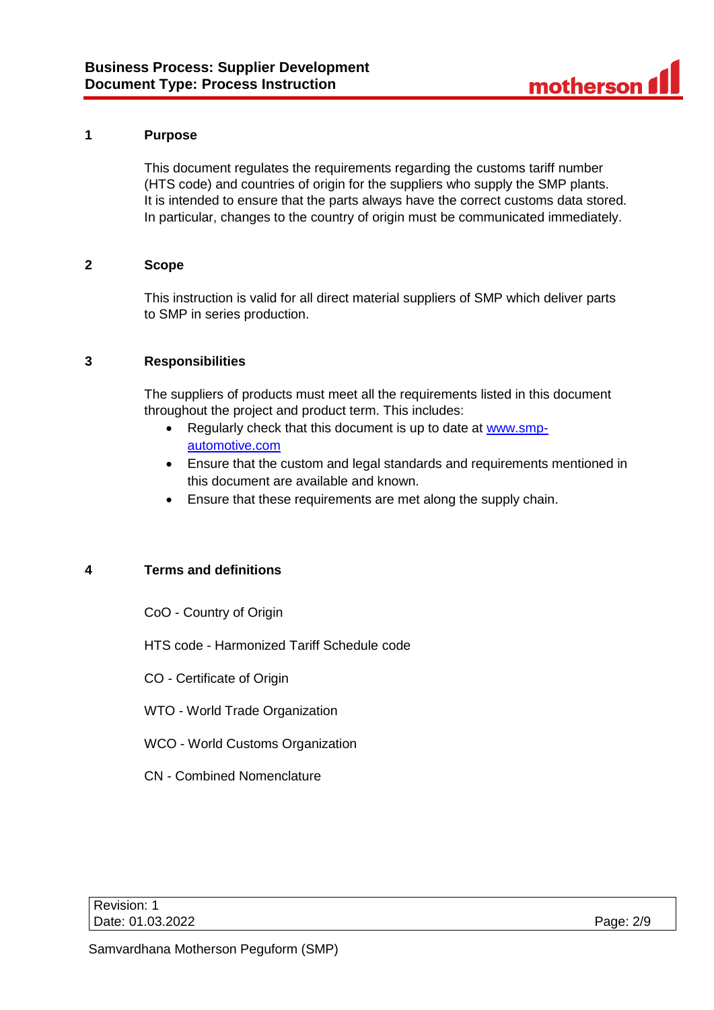#### <span id="page-1-0"></span>**1 Purpose**

This document regulates the requirements regarding the customs tariff number (HTS code) and countries of origin for the suppliers who supply the SMP plants. It is intended to ensure that the parts always have the correct customs data stored. In particular, changes to the country of origin must be communicated immediately.

#### <span id="page-1-1"></span>**2 Scope**

This instruction is valid for all direct material suppliers of SMP which deliver parts to SMP in series production.

# <span id="page-1-2"></span>**3 Responsibilities**

The suppliers of products must meet all the requirements listed in this document throughout the project and product term. This includes:

- Regularly check that this document is up to date at [www.smp](http://www.smp-automotive.com/)[automotive.com](http://www.smp-automotive.com/)
- Ensure that the custom and legal standards and requirements mentioned in this document are available and known.
- Ensure that these requirements are met along the supply chain.

# <span id="page-1-3"></span>**4 Terms and definitions**

- CoO Country of Origin
- HTS code Harmonized Tariff Schedule code
- CO Certificate of Origin
- WTO World Trade Organization
- WCO World Customs Organization
- CN Combined Nomenclature

| Revision: 1      |           |
|------------------|-----------|
| Date: 01.03.2022 | Page: 2/9 |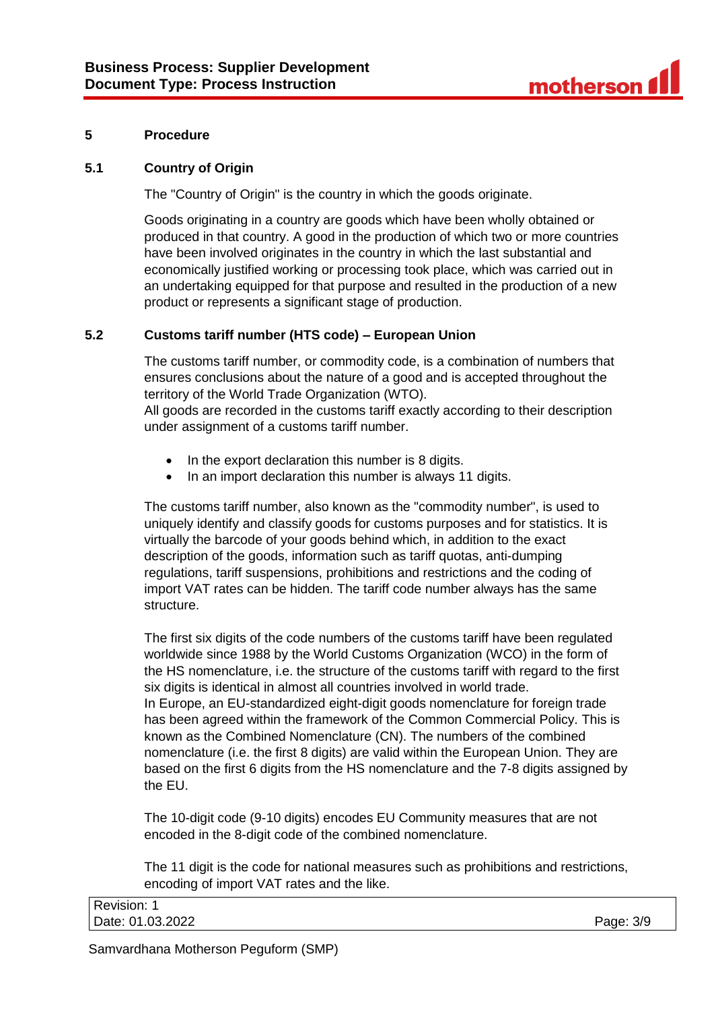

### <span id="page-2-0"></span>**5 Procedure**

#### <span id="page-2-1"></span>**5.1 Country of Origin**

The "Country of Origin" is the country in which the goods originate.

Goods originating in a country are goods which have been wholly obtained or produced in that country. A good in the production of which two or more countries have been involved originates in the country in which the last substantial and economically justified working or processing took place, which was carried out in an undertaking equipped for that purpose and resulted in the production of a new product or represents a significant stage of production.

### <span id="page-2-2"></span>**5.2 Customs tariff number (HTS code) – European Union**

The customs tariff number, or commodity code, is a combination of numbers that ensures conclusions about the nature of a good and is accepted throughout the territory of the World Trade Organization (WTO).

All goods are recorded in the customs tariff exactly according to their description under assignment of a customs tariff number.

- In the export declaration this number is 8 digits.
- In an import declaration this number is always 11 digits.

The customs tariff number, also known as the "commodity number", is used to uniquely identify and classify goods for customs purposes and for statistics. It is virtually the barcode of your goods behind which, in addition to the exact description of the goods, information such as tariff quotas, anti-dumping regulations, tariff suspensions, prohibitions and restrictions and the coding of import VAT rates can be hidden. The tariff code number always has the same structure.

The first six digits of the code numbers of the customs tariff have been regulated worldwide since 1988 by the World Customs Organization (WCO) in the form of the HS nomenclature, i.e. the structure of the customs tariff with regard to the first six digits is identical in almost all countries involved in world trade. In Europe, an EU-standardized eight-digit goods nomenclature for foreign trade has been agreed within the framework of the Common Commercial Policy. This is known as the Combined Nomenclature (CN). The numbers of the combined nomenclature (i.e. the first 8 digits) are valid within the European Union. They are based on the first 6 digits from the HS nomenclature and the 7-8 digits assigned by the EU.

The 10-digit code (9-10 digits) encodes EU Community measures that are not encoded in the 8-digit code of the combined nomenclature.

The 11 digit is the code for national measures such as prohibitions and restrictions, encoding of import VAT rates and the like.

| Revision:        |              |
|------------------|--------------|
| Date: 01.03.2022 | 3/9<br>Page: |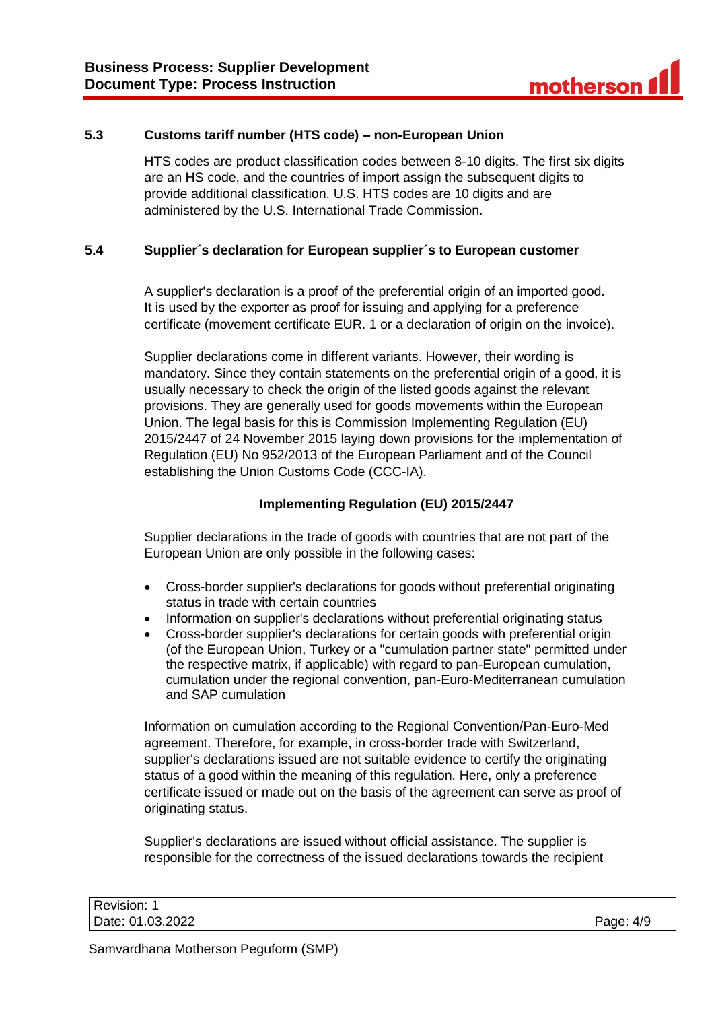### <span id="page-3-0"></span>**5.3 Customs tariff number (HTS code) – non-European Union**

HTS codes are product classification codes between 8-10 digits. The first six digits are an HS code, and the countries of import assign the subsequent digits to provide additional classification. U.S. HTS codes are 10 digits and are administered by the U.S. International Trade Commission.

#### <span id="page-3-1"></span>**5.4 Supplier´s declaration for European supplier´s to European customer**

A supplier's declaration is a proof of the preferential origin of an imported good. It is used by the exporter as proof for issuing and applying for a preference certificate (movement certificate EUR. 1 or a declaration of origin on the invoice).

Supplier declarations come in different variants. However, their wording is mandatory. Since they contain statements on the preferential origin of a good, it is usually necessary to check the origin of the listed goods against the relevant provisions. They are generally used for goods movements within the European Union. The legal basis for this is Commission Implementing Regulation (EU) 2015/2447 of 24 November 2015 laying down provisions for the implementation of Regulation (EU) No 952/2013 of the European Parliament and of the Council establishing the Union Customs Code (CCC-IA).

# **Implementing Regulation (EU) 2015/2447**

Supplier declarations in the trade of goods with countries that are not part of the European Union are only possible in the following cases:

- Cross-border supplier's declarations for goods without preferential originating status in trade with certain countries
- Information on supplier's declarations without preferential originating status
- Cross-border supplier's declarations for certain goods with preferential origin (of the European Union, Turkey or a "cumulation partner state" permitted under the respective matrix, if applicable) with regard to pan-European cumulation, cumulation under the regional convention, pan-Euro-Mediterranean cumulation and SAP cumulation

Information on cumulation according to the Regional Convention/Pan-Euro-Med agreement. Therefore, for example, in cross-border trade with Switzerland, supplier's declarations issued are not suitable evidence to certify the originating status of a good within the meaning of this regulation. Here, only a preference certificate issued or made out on the basis of the agreement can serve as proof of originating status.

Supplier's declarations are issued without official assistance. The supplier is responsible for the correctness of the issued declarations towards the recipient

| Revision: 1      |           |
|------------------|-----------|
| Date: 01.03.2022 | Page: 4/9 |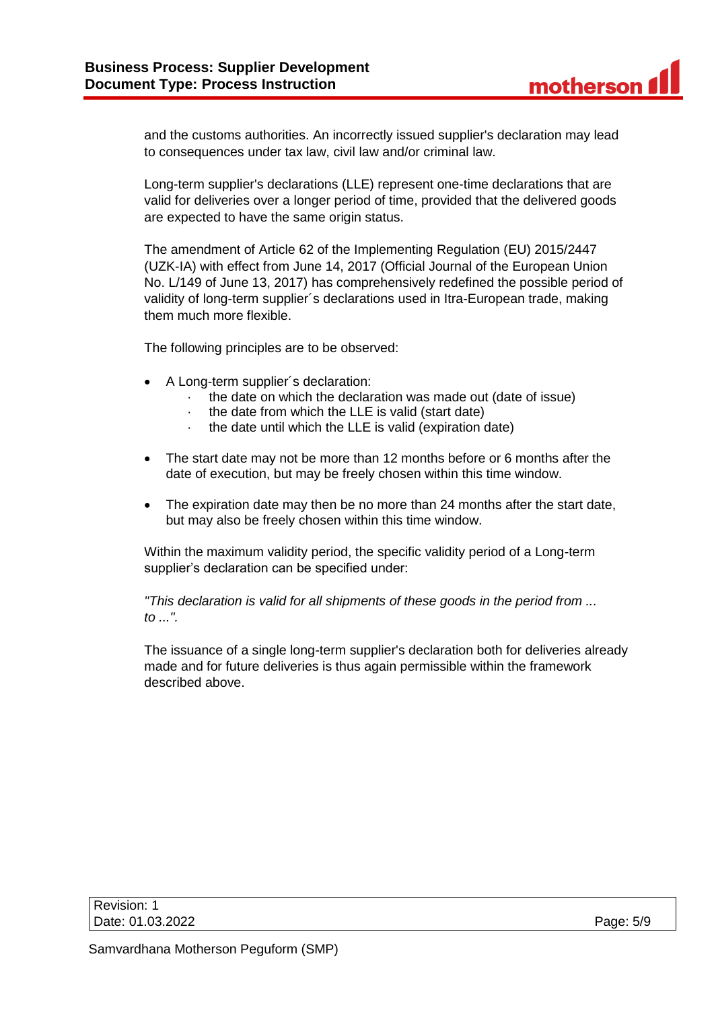and the customs authorities. An incorrectly issued supplier's declaration may lead to consequences under tax law, civil law and/or criminal law.

Long-term supplier's declarations (LLE) represent one-time declarations that are valid for deliveries over a longer period of time, provided that the delivered goods are expected to have the same origin status.

The amendment of Article 62 of the Implementing Regulation (EU) 2015/2447 (UZK-IA) with effect from June 14, 2017 (Official Journal of the European Union No. L/149 of June 13, 2017) has comprehensively redefined the possible period of validity of long-term supplier´s declarations used in Itra-European trade, making them much more flexible.

The following principles are to be observed:

- A Long-term supplier´s declaration:
	- · the date on which the declaration was made out (date of issue)
	- the date from which the LLE is valid (start date)
	- · the date until which the LLE is valid (expiration date)
- The start date may not be more than 12 months before or 6 months after the date of execution, but may be freely chosen within this time window.
- The expiration date may then be no more than 24 months after the start date, but may also be freely chosen within this time window.

Within the maximum validity period, the specific validity period of a Long-term supplier's declaration can be specified under:

*"This declaration is valid for all shipments of these goods in the period from ... to ...".*

The issuance of a single long-term supplier's declaration both for deliveries already made and for future deliveries is thus again permissible within the framework described above.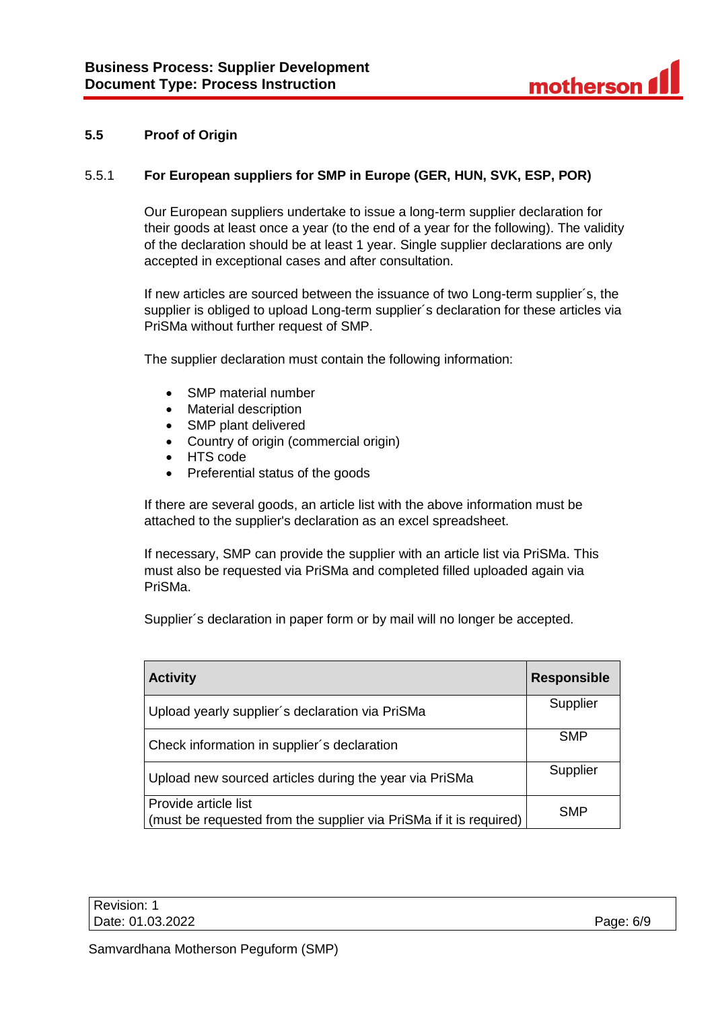# <span id="page-5-0"></span>**5.5 Proof of Origin**

### <span id="page-5-1"></span>5.5.1 **For European suppliers for SMP in Europe (GER, HUN, SVK, ESP, POR)**

Our European suppliers undertake to issue a long-term supplier declaration for their goods at least once a year (to the end of a year for the following). The validity of the declaration should be at least 1 year. Single supplier declarations are only accepted in exceptional cases and after consultation.

If new articles are sourced between the issuance of two Long-term supplier´s, the supplier is obliged to upload Long-term supplier´s declaration for these articles via PriSMa without further request of SMP.

The supplier declaration must contain the following information:

- SMP material number
- Material description
- SMP plant delivered
- Country of origin (commercial origin)
- HTS code
- Preferential status of the goods

If there are several goods, an article list with the above information must be attached to the supplier's declaration as an excel spreadsheet.

If necessary, SMP can provide the supplier with an article list via PriSMa. This must also be requested via PriSMa and completed filled uploaded again via PriSMa.

Supplier´s declaration in paper form or by mail will no longer be accepted.

| <b>Activity</b>                                                                            | <b>Responsible</b> |
|--------------------------------------------------------------------------------------------|--------------------|
| Upload yearly supplier's declaration via PriSMa                                            | Supplier           |
| Check information in supplier's declaration                                                | <b>SMP</b>         |
| Upload new sourced articles during the year via PriSMa                                     | Supplier           |
| Provide article list<br>(must be requested from the supplier via PriSMa if it is required) | <b>SMP</b>         |

| Revision: 1      |           |
|------------------|-----------|
| Date: 01.03.2022 | Page: 6/9 |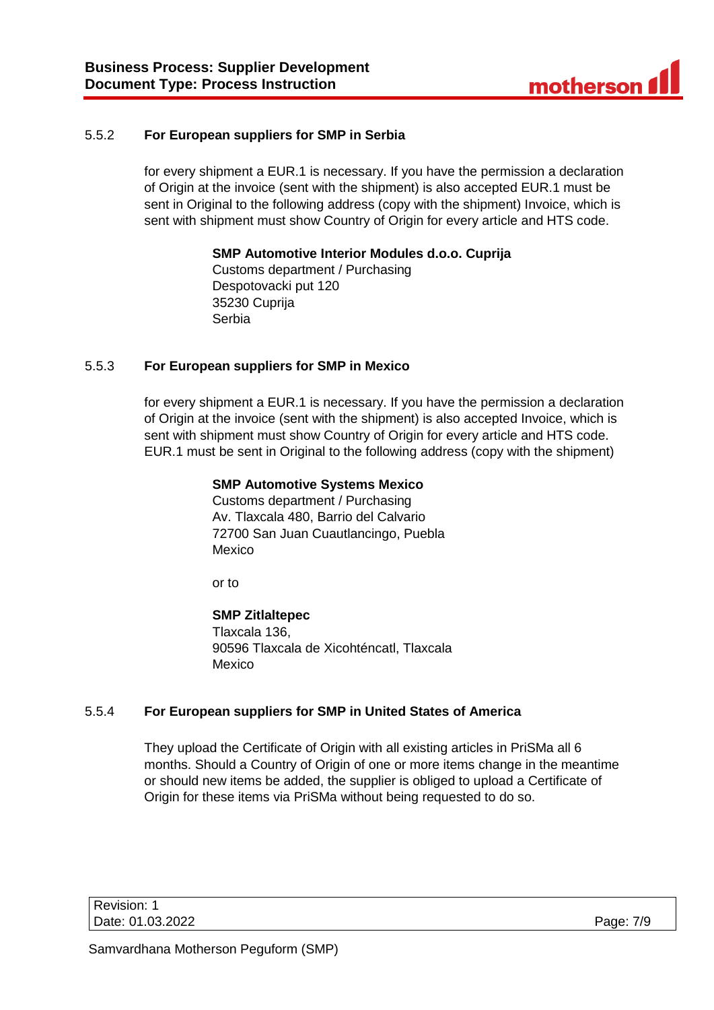# <span id="page-6-0"></span>5.5.2 **For European suppliers for SMP in Serbia**

for every shipment a EUR.1 is necessary. If you have the permission a declaration of Origin at the invoice (sent with the shipment) is also accepted EUR.1 must be sent in Original to the following address (copy with the shipment) Invoice, which is sent with shipment must show Country of Origin for every article and HTS code.

**SMP Automotive Interior Modules d.o.o. Cuprija**

Customs department / Purchasing Despotovacki put 120 35230 Cuprija Serbia

#### <span id="page-6-1"></span>5.5.3 **For European suppliers for SMP in Mexico**

for every shipment a EUR.1 is necessary. If you have the permission a declaration of Origin at the invoice (sent with the shipment) is also accepted Invoice, which is sent with shipment must show Country of Origin for every article and HTS code. EUR.1 must be sent in Original to the following address (copy with the shipment)

#### **SMP Automotive Systems Mexico**

Customs department / Purchasing Av. Tlaxcala 480, Barrio del Calvario 72700 San Juan Cuautlancingo, Puebla Mexico

or to

#### **SMP Zitlaltepec**

Tlaxcala 136, 90596 Tlaxcala de Xicohténcatl, Tlaxcala Mexico

#### <span id="page-6-2"></span>5.5.4 **For European suppliers for SMP in United States of America**

They upload the Certificate of Origin with all existing articles in PriSMa all 6 months. Should a Country of Origin of one or more items change in the meantime or should new items be added, the supplier is obliged to upload a Certificate of Origin for these items via PriSMa without being requested to do so.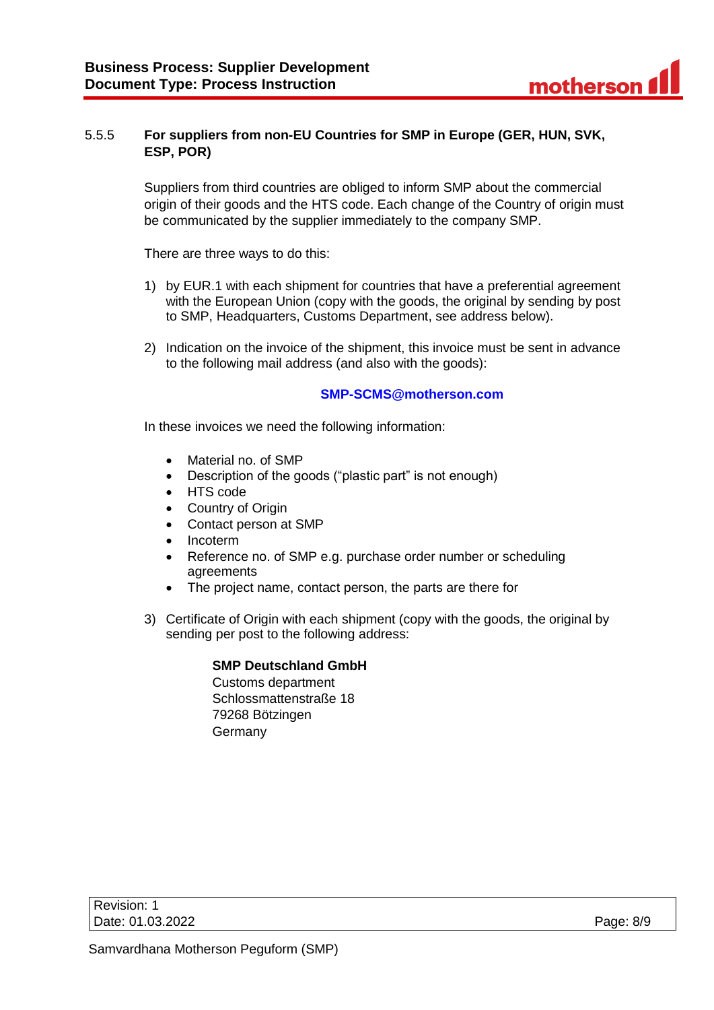# <span id="page-7-0"></span>5.5.5 **For suppliers from non-EU Countries for SMP in Europe (GER, HUN, SVK, ESP, POR)**

Suppliers from third countries are obliged to inform SMP about the commercial origin of their goods and the HTS code. Each change of the Country of origin must be communicated by the supplier immediately to the company SMP.

There are three ways to do this:

- 1) by EUR.1 with each shipment for countries that have a preferential agreement with the European Union (copy with the goods, the original by sending by post to SMP, Headquarters, Customs Department, see address below).
- 2) Indication on the invoice of the shipment, this invoice must be sent in advance to the following mail address (and also with the goods):

# **[SMP-SCMS@motherson.com](mailto:SMP-SCMS@motherson.com)**

In these invoices we need the following information:

- Material no. of SMP
- Description of the goods ("plastic part" is not enough)
- HTS code
- Country of Origin
- Contact person at SMP
- Incoterm
- Reference no. of SMP e.g. purchase order number or scheduling agreements
- The project name, contact person, the parts are there for
- 3) Certificate of Origin with each shipment (copy with the goods, the original by sending per post to the following address:

# **SMP Deutschland GmbH**

Customs department Schlossmattenstraße 18 79268 Bötzingen Germany